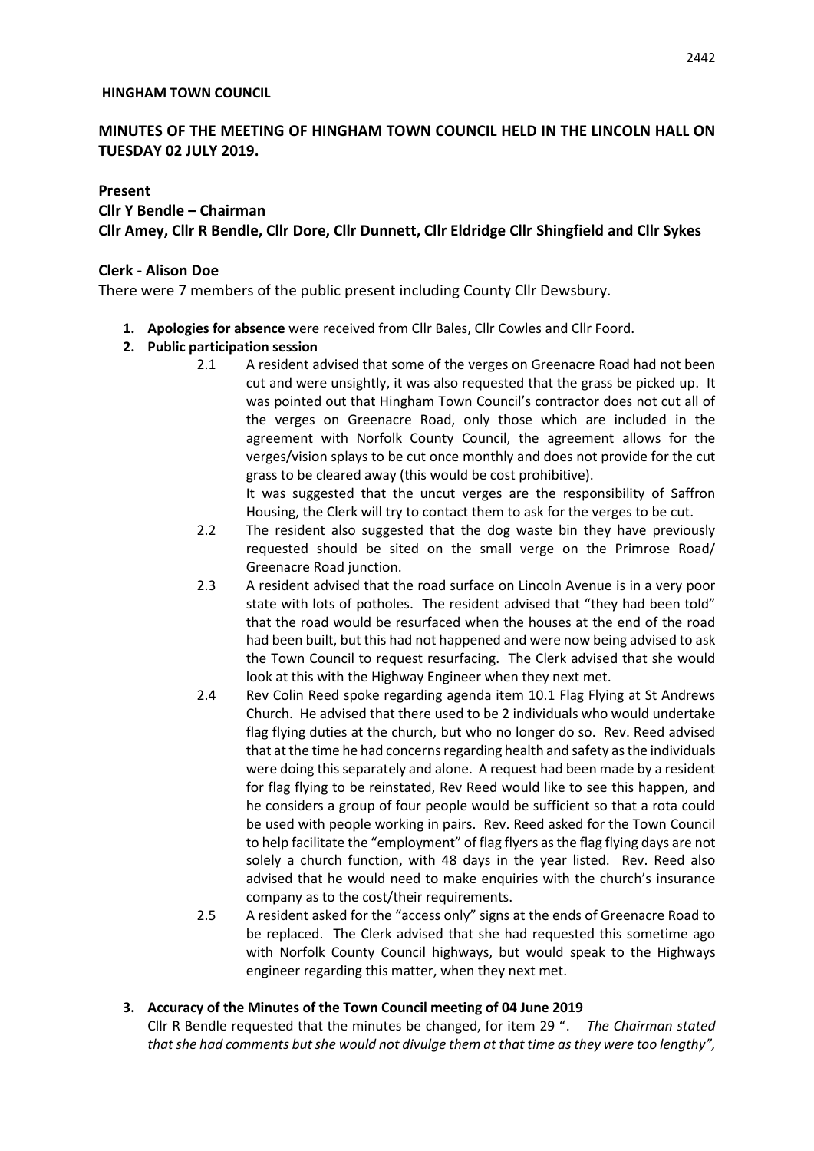#### **HINGHAM TOWN COUNCIL**

# **MINUTES OF THE MEETING OF HINGHAM TOWN COUNCIL HELD IN THE LINCOLN HALL ON TUESDAY 02 JULY 2019.**

### **Present**

### **Cllr Y Bendle – Chairman**

**Cllr Amey, Cllr R Bendle, Cllr Dore, Cllr Dunnett, Cllr Eldridge Cllr Shingfield and Cllr Sykes**

## **Clerk - Alison Doe**

There were 7 members of the public present including County Cllr Dewsbury.

**1. Apologies for absence** were received from Cllr Bales, Cllr Cowles and Cllr Foord.

## **2. Public participation session**

2.1 A resident advised that some of the verges on Greenacre Road had not been cut and were unsightly, it was also requested that the grass be picked up. It was pointed out that Hingham Town Council's contractor does not cut all of the verges on Greenacre Road, only those which are included in the agreement with Norfolk County Council, the agreement allows for the verges/vision splays to be cut once monthly and does not provide for the cut grass to be cleared away (this would be cost prohibitive).

It was suggested that the uncut verges are the responsibility of Saffron Housing, the Clerk will try to contact them to ask for the verges to be cut.

- 2.2 The resident also suggested that the dog waste bin they have previously requested should be sited on the small verge on the Primrose Road/ Greenacre Road junction.
- 2.3 A resident advised that the road surface on Lincoln Avenue is in a very poor state with lots of potholes. The resident advised that "they had been told" that the road would be resurfaced when the houses at the end of the road had been built, but this had not happened and were now being advised to ask the Town Council to request resurfacing. The Clerk advised that she would look at this with the Highway Engineer when they next met.
- 2.4 Rev Colin Reed spoke regarding agenda item 10.1 Flag Flying at St Andrews Church. He advised that there used to be 2 individuals who would undertake flag flying duties at the church, but who no longer do so. Rev. Reed advised that at the time he had concerns regarding health and safety as the individuals were doing this separately and alone. A request had been made by a resident for flag flying to be reinstated, Rev Reed would like to see this happen, and he considers a group of four people would be sufficient so that a rota could be used with people working in pairs. Rev. Reed asked for the Town Council to help facilitate the "employment" of flag flyers as the flag flying days are not solely a church function, with 48 days in the year listed. Rev. Reed also advised that he would need to make enquiries with the church's insurance company as to the cost/their requirements.
- 2.5 A resident asked for the "access only" signs at the ends of Greenacre Road to be replaced. The Clerk advised that she had requested this sometime ago with Norfolk County Council highways, but would speak to the Highways engineer regarding this matter, when they next met.

## **3. Accuracy of the Minutes of the Town Council meeting of 04 June 2019**

Cllr R Bendle requested that the minutes be changed, for item 29 ". *The Chairman stated that she had comments but she would not divulge them at that time as they were too lengthy",*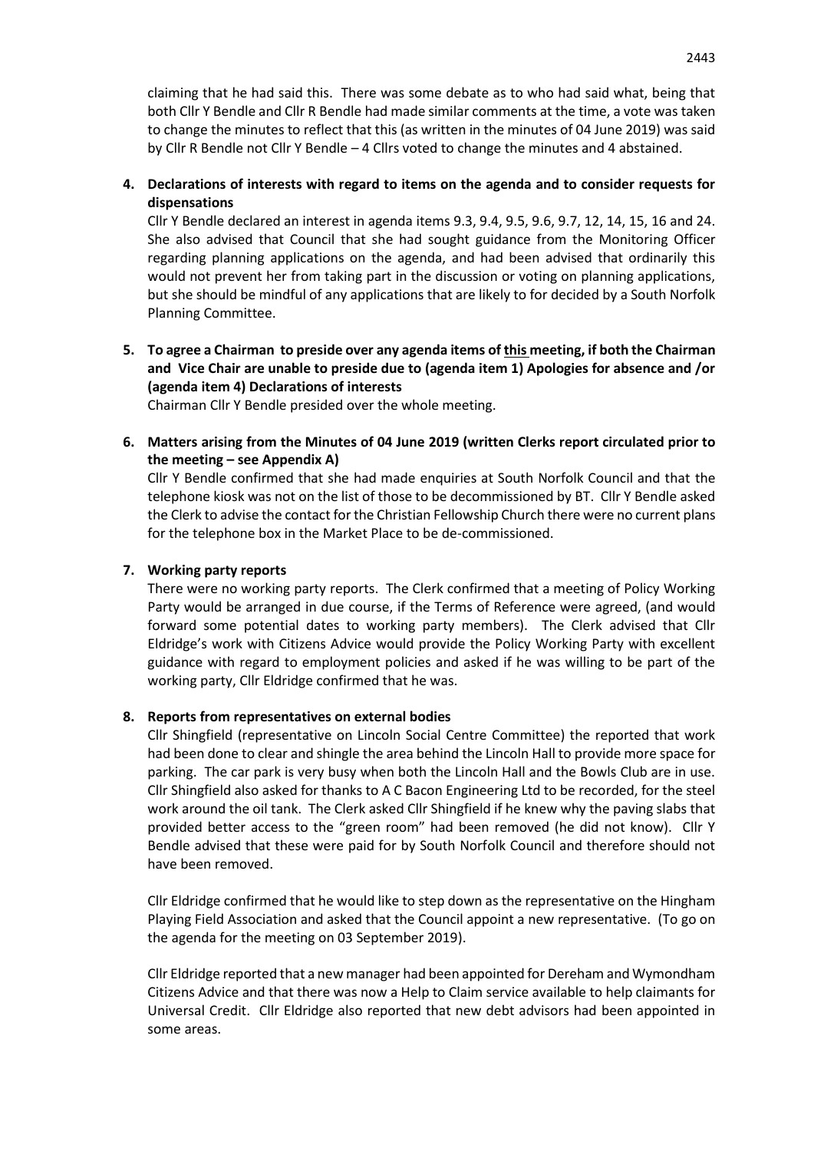claiming that he had said this. There was some debate as to who had said what, being that both Cllr Y Bendle and Cllr R Bendle had made similar comments at the time, a vote was taken to change the minutes to reflect that this (as written in the minutes of 04 June 2019) was said by Cllr R Bendle not Cllr Y Bendle – 4 Cllrs voted to change the minutes and 4 abstained.

# **4. Declarations of interests with regard to items on the agenda and to consider requests for dispensations**

Cllr Y Bendle declared an interest in agenda items 9.3, 9.4, 9.5, 9.6, 9.7, 12, 14, 15, 16 and 24. She also advised that Council that she had sought guidance from the Monitoring Officer regarding planning applications on the agenda, and had been advised that ordinarily this would not prevent her from taking part in the discussion or voting on planning applications, but she should be mindful of any applications that are likely to for decided by a South Norfolk Planning Committee.

**5. To agree a Chairman to preside over any agenda items of this meeting, if both the Chairman and Vice Chair are unable to preside due to (agenda item 1) Apologies for absence and /or (agenda item 4) Declarations of interests**

Chairman Cllr Y Bendle presided over the whole meeting.

**6. Matters arising from the Minutes of 04 June 2019 (written Clerks report circulated prior to the meeting – see Appendix A)**

Cllr Y Bendle confirmed that she had made enquiries at South Norfolk Council and that the telephone kiosk was not on the list of those to be decommissioned by BT. Cllr Y Bendle asked the Clerk to advise the contact for the Christian Fellowship Church there were no current plans for the telephone box in the Market Place to be de-commissioned.

### **7. Working party reports**

There were no working party reports. The Clerk confirmed that a meeting of Policy Working Party would be arranged in due course, if the Terms of Reference were agreed, (and would forward some potential dates to working party members). The Clerk advised that Cllr Eldridge's work with Citizens Advice would provide the Policy Working Party with excellent guidance with regard to employment policies and asked if he was willing to be part of the working party, Cllr Eldridge confirmed that he was.

### **8. Reports from representatives on external bodies**

Cllr Shingfield (representative on Lincoln Social Centre Committee) the reported that work had been done to clear and shingle the area behind the Lincoln Hall to provide more space for parking. The car park is very busy when both the Lincoln Hall and the Bowls Club are in use. Cllr Shingfield also asked for thanks to A C Bacon Engineering Ltd to be recorded, for the steel work around the oil tank. The Clerk asked Cllr Shingfield if he knew why the paving slabs that provided better access to the "green room" had been removed (he did not know). Cllr Y Bendle advised that these were paid for by South Norfolk Council and therefore should not have been removed.

Cllr Eldridge confirmed that he would like to step down as the representative on the Hingham Playing Field Association and asked that the Council appoint a new representative. (To go on the agenda for the meeting on 03 September 2019).

Cllr Eldridge reported that a new manager had been appointed for Dereham and Wymondham Citizens Advice and that there was now a Help to Claim service available to help claimants for Universal Credit. Cllr Eldridge also reported that new debt advisors had been appointed in some areas.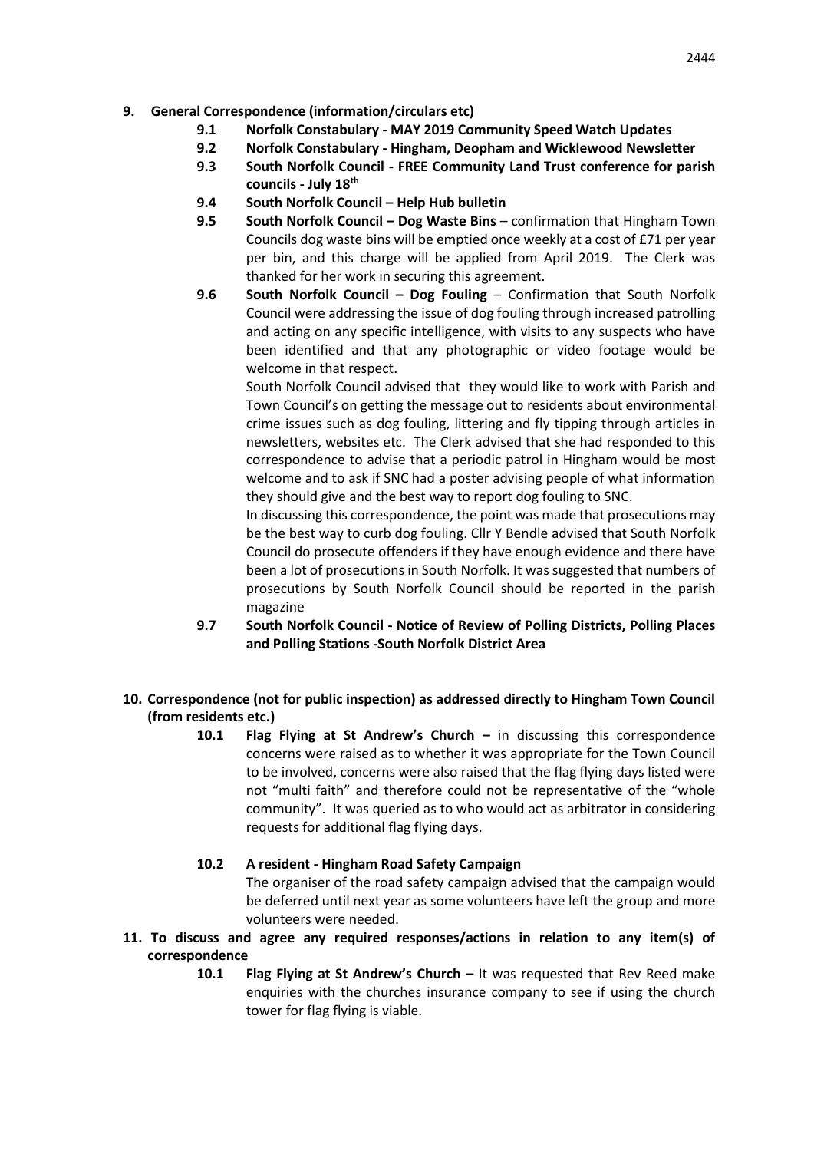- **9. General Correspondence (information/circulars etc)**
	- **9.1 Norfolk Constabulary - MAY 2019 Community Speed Watch Updates**
	- **9.2 Norfolk Constabulary - Hingham, Deopham and Wicklewood Newsletter**
	- **9.3 South Norfolk Council - FREE Community Land Trust conference for parish councils - July 18th**
	- **9.4 South Norfolk Council – Help Hub bulletin**
	- **9.5 South Norfolk Council – Dog Waste Bins** confirmation that Hingham Town Councils dog waste bins will be emptied once weekly at a cost of £71 per year per bin, and this charge will be applied from April 2019. The Clerk was thanked for her work in securing this agreement.
	- **9.6 South Norfolk Council – Dog Fouling** Confirmation that South Norfolk Council were addressing the issue of dog fouling through increased patrolling and acting on any specific intelligence, with visits to any suspects who have been identified and that any photographic or video footage would be welcome in that respect.

South Norfolk Council advised that they would like to work with Parish and Town Council's on getting the message out to residents about environmental crime issues such as dog fouling, littering and fly tipping through articles in newsletters, websites etc. The Clerk advised that she had responded to this correspondence to advise that a periodic patrol in Hingham would be most welcome and to ask if SNC had a poster advising people of what information they should give and the best way to report dog fouling to SNC.

In discussing this correspondence, the point was made that prosecutions may be the best way to curb dog fouling. Cllr Y Bendle advised that South Norfolk Council do prosecute offenders if they have enough evidence and there have been a lot of prosecutions in South Norfolk. It was suggested that numbers of prosecutions by South Norfolk Council should be reported in the parish magazine

- **9.7 South Norfolk Council - Notice of Review of Polling Districts, Polling Places and Polling Stations -South Norfolk District Area**
- **10. Correspondence (not for public inspection) as addressed directly to Hingham Town Council (from residents etc.)**
	- **10.1 Flag Flying at St Andrew's Church –** in discussing this correspondence concerns were raised as to whether it was appropriate for the Town Council to be involved, concerns were also raised that the flag flying days listed were not "multi faith" and therefore could not be representative of the "whole community". It was queried as to who would act as arbitrator in considering requests for additional flag flying days.
	- **10.2 A resident - Hingham Road Safety Campaign** The organiser of the road safety campaign advised that the campaign would be deferred until next year as some volunteers have left the group and more volunteers were needed.
- **11. To discuss and agree any required responses/actions in relation to any item(s) of correspondence** 
	- **10.1 Flag Flying at St Andrew's Church –** It was requested that Rev Reed make enquiries with the churches insurance company to see if using the church tower for flag flying is viable.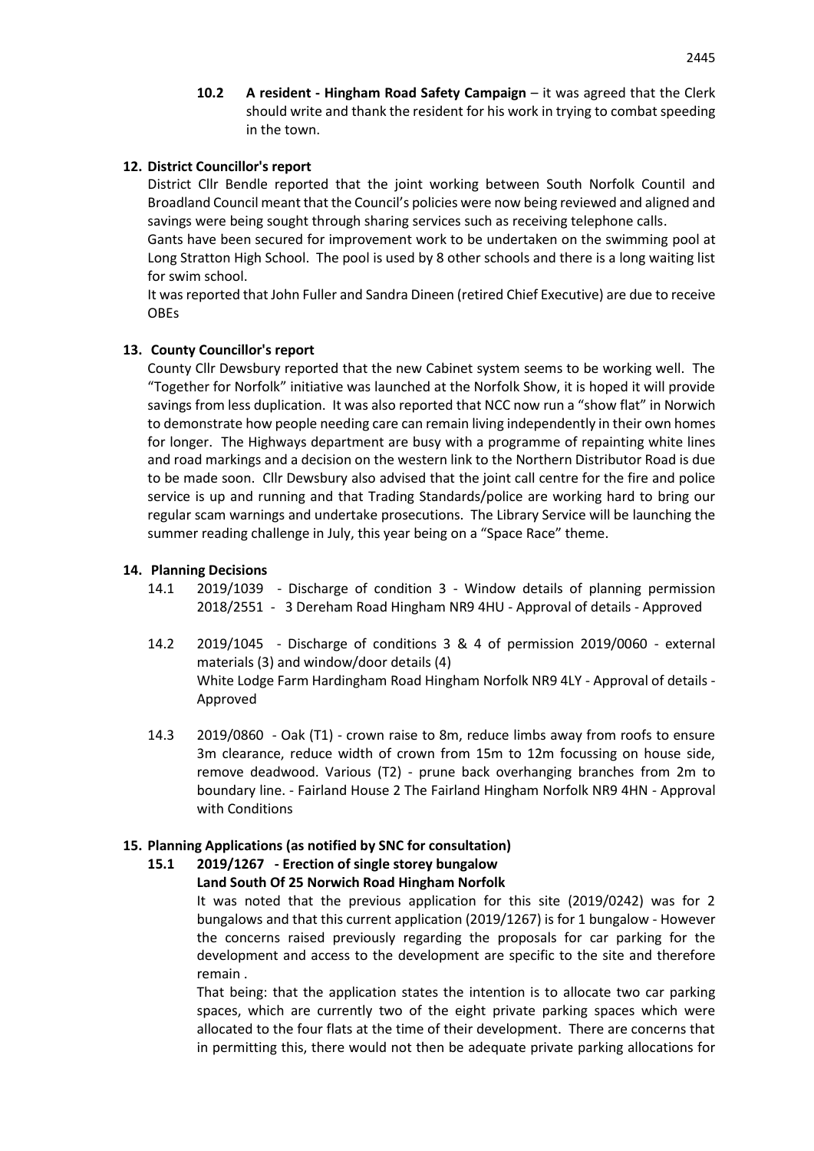**10.2 A resident - Hingham Road Safety Campaign** – it was agreed that the Clerk should write and thank the resident for his work in trying to combat speeding in the town.

### **12. District Councillor's report**

District Cllr Bendle reported that the joint working between South Norfolk Countil and Broadland Council meant that the Council's policies were now being reviewed and aligned and savings were being sought through sharing services such as receiving telephone calls.

Gants have been secured for improvement work to be undertaken on the swimming pool at Long Stratton High School. The pool is used by 8 other schools and there is a long waiting list for swim school.

It was reported that John Fuller and Sandra Dineen (retired Chief Executive) are due to receive OBEs

### **13. County Councillor's report**

County Cllr Dewsbury reported that the new Cabinet system seems to be working well. The "Together for Norfolk" initiative was launched at the Norfolk Show, it is hoped it will provide savings from less duplication. It was also reported that NCC now run a "show flat" in Norwich to demonstrate how people needing care can remain living independently in their own homes for longer. The Highways department are busy with a programme of repainting white lines and road markings and a decision on the western link to the Northern Distributor Road is due to be made soon. Cllr Dewsbury also advised that the joint call centre for the fire and police service is up and running and that Trading Standards/police are working hard to bring our regular scam warnings and undertake prosecutions. The Library Service will be launching the summer reading challenge in July, this year being on a "Space Race" theme.

## **14. Planning Decisions**

- 14.1 2019/1039 Discharge of condition 3 Window details of planning permission 2018/2551 - 3 Dereham Road Hingham NR9 4HU - Approval of details - Approved
- 14.2 2019/1045 Discharge of conditions 3 & 4 of permission 2019/0060 external materials (3) and window/door details (4) White Lodge Farm Hardingham Road Hingham Norfolk NR9 4LY - Approval of details - Approved
- 14.3 2019/0860 Oak (T1) crown raise to 8m, reduce limbs away from roofs to ensure 3m clearance, reduce width of crown from 15m to 12m focussing on house side, remove deadwood. Various (T2) - prune back overhanging branches from 2m to boundary line. - Fairland House 2 The Fairland Hingham Norfolk NR9 4HN - Approval with Conditions

## **15. Planning Applications (as notified by SNC for consultation)**

# **15.1 2019/1267 - Erection of single storey bungalow**

**Land South Of 25 Norwich Road Hingham Norfolk** It was noted that the previous application for this site (2019/0242) was for 2

bungalows and that this current application (2019/1267) is for 1 bungalow - However the concerns raised previously regarding the proposals for car parking for the development and access to the development are specific to the site and therefore remain .

That being: that the application states the intention is to allocate two car parking spaces, which are currently two of the eight private parking spaces which were allocated to the four flats at the time of their development. There are concerns that in permitting this, there would not then be adequate private parking allocations for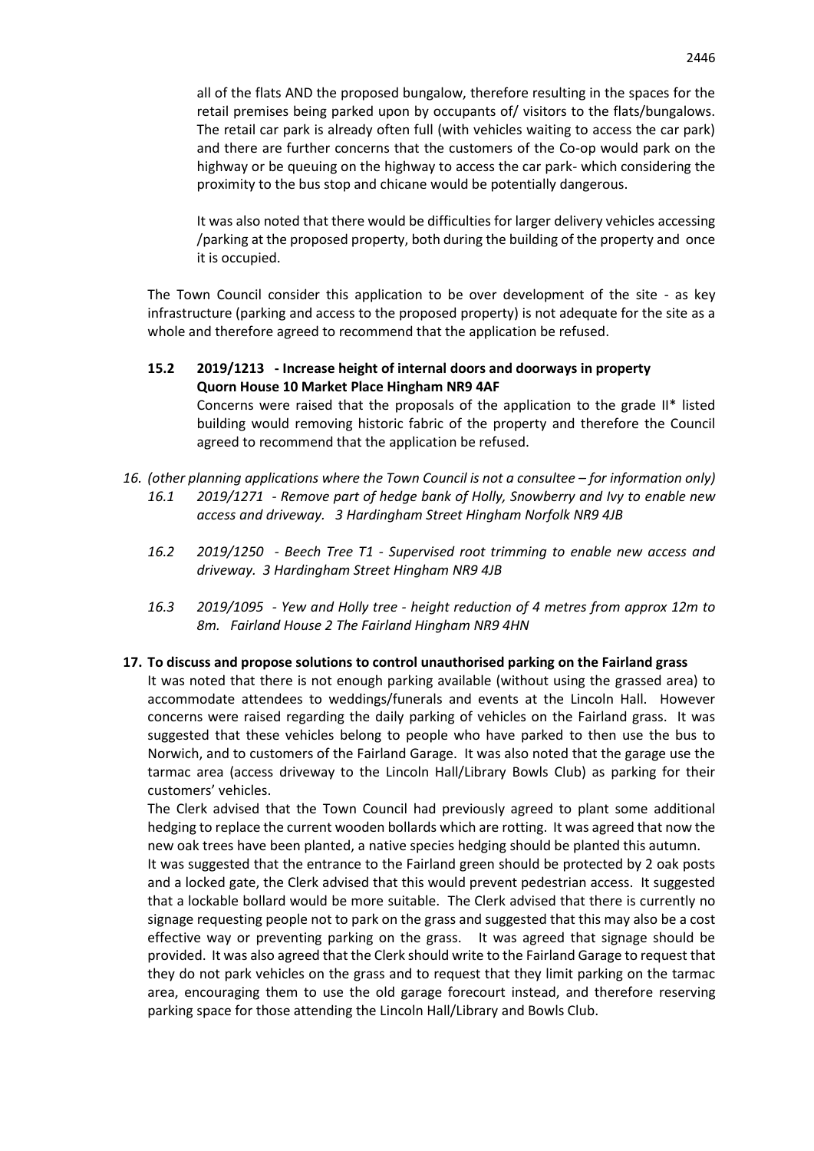It was also noted that there would be difficulties for larger delivery vehicles accessing /parking at the proposed property, both during the building of the property and once it is occupied.

The Town Council consider this application to be over development of the site - as key infrastructure (parking and access to the proposed property) is not adequate for the site as a whole and therefore agreed to recommend that the application be refused.

## **15.2 2019/1213 - Increase height of internal doors and doorways in property Quorn House 10 Market Place Hingham NR9 4AF**

Concerns were raised that the proposals of the application to the grade II\* listed building would removing historic fabric of the property and therefore the Council agreed to recommend that the application be refused.

- 16. *(other planning applications where the Town Council is not a consultee for information only) 16.1 2019/1271 - Remove part of hedge bank of Holly, Snowberry and Ivy to enable new access and driveway. 3 Hardingham Street Hingham Norfolk NR9 4JB*
	- *16.2 2019/1250 - Beech Tree T1 - Supervised root trimming to enable new access and driveway. 3 Hardingham Street Hingham NR9 4JB*
	- *16.3 2019/1095 - Yew and Holly tree - height reduction of 4 metres from approx 12m to 8m. Fairland House 2 The Fairland Hingham NR9 4HN*

### **17. To discuss and propose solutions to control unauthorised parking on the Fairland grass**

It was noted that there is not enough parking available (without using the grassed area) to accommodate attendees to weddings/funerals and events at the Lincoln Hall. However concerns were raised regarding the daily parking of vehicles on the Fairland grass. It was suggested that these vehicles belong to people who have parked to then use the bus to Norwich, and to customers of the Fairland Garage. It was also noted that the garage use the tarmac area (access driveway to the Lincoln Hall/Library Bowls Club) as parking for their customers' vehicles.

The Clerk advised that the Town Council had previously agreed to plant some additional hedging to replace the current wooden bollards which are rotting. It was agreed that now the new oak trees have been planted, a native species hedging should be planted this autumn.

It was suggested that the entrance to the Fairland green should be protected by 2 oak posts and a locked gate, the Clerk advised that this would prevent pedestrian access. It suggested that a lockable bollard would be more suitable. The Clerk advised that there is currently no signage requesting people not to park on the grass and suggested that this may also be a cost effective way or preventing parking on the grass. It was agreed that signage should be provided. It was also agreed that the Clerk should write to the Fairland Garage to request that they do not park vehicles on the grass and to request that they limit parking on the tarmac area, encouraging them to use the old garage forecourt instead, and therefore reserving parking space for those attending the Lincoln Hall/Library and Bowls Club.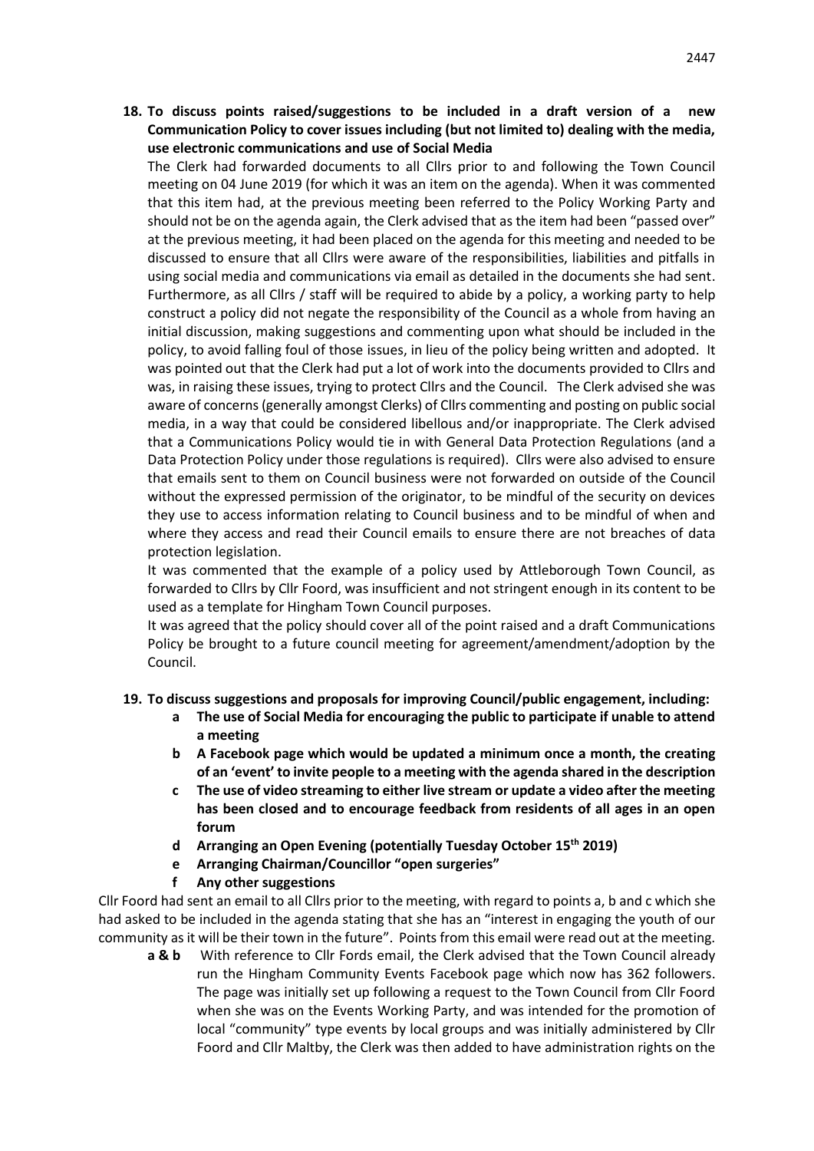**18. To discuss points raised/suggestions to be included in a draft version of a new Communication Policy to cover issues including (but not limited to) dealing with the media, use electronic communications and use of Social Media**

The Clerk had forwarded documents to all Cllrs prior to and following the Town Council meeting on 04 June 2019 (for which it was an item on the agenda). When it was commented that this item had, at the previous meeting been referred to the Policy Working Party and should not be on the agenda again, the Clerk advised that as the item had been "passed over" at the previous meeting, it had been placed on the agenda for this meeting and needed to be discussed to ensure that all Cllrs were aware of the responsibilities, liabilities and pitfalls in using social media and communications via email as detailed in the documents she had sent. Furthermore, as all Cllrs / staff will be required to abide by a policy, a working party to help construct a policy did not negate the responsibility of the Council as a whole from having an initial discussion, making suggestions and commenting upon what should be included in the policy, to avoid falling foul of those issues, in lieu of the policy being written and adopted. It was pointed out that the Clerk had put a lot of work into the documents provided to Cllrs and was, in raising these issues, trying to protect Cllrs and the Council. The Clerk advised she was aware of concerns (generally amongst Clerks) of Cllrs commenting and posting on public social media, in a way that could be considered libellous and/or inappropriate. The Clerk advised that a Communications Policy would tie in with General Data Protection Regulations (and a Data Protection Policy under those regulations is required). Cllrs were also advised to ensure that emails sent to them on Council business were not forwarded on outside of the Council without the expressed permission of the originator, to be mindful of the security on devices they use to access information relating to Council business and to be mindful of when and where they access and read their Council emails to ensure there are not breaches of data protection legislation.

It was commented that the example of a policy used by Attleborough Town Council, as forwarded to Cllrs by Cllr Foord, was insufficient and not stringent enough in its content to be used as a template for Hingham Town Council purposes.

It was agreed that the policy should cover all of the point raised and a draft Communications Policy be brought to a future council meeting for agreement/amendment/adoption by the Council.

### **19. To discuss suggestions and proposals for improving Council/public engagement, including:**

- **a The use of Social Media for encouraging the public to participate if unable to attend a meeting**
- **b A Facebook page which would be updated a minimum once a month, the creating of an 'event' to invite people to a meeting with the agenda shared in the description**
- **c The use of video streaming to either live stream or update a video after the meeting has been closed and to encourage feedback from residents of all ages in an open forum**
- **d Arranging an Open Evening (potentially Tuesday October 15th 2019)**
- **e Arranging Chairman/Councillor "open surgeries"**
- **f Any other suggestions**

Cllr Foord had sent an email to all Cllrs prior to the meeting, with regard to points a, b and c which she had asked to be included in the agenda stating that she has an "interest in engaging the youth of our community as it will be their town in the future". Points from this email were read out at the meeting.

**a & b** With reference to Cllr Fords email, the Clerk advised that the Town Council already run the Hingham Community Events Facebook page which now has 362 followers. The page was initially set up following a request to the Town Council from Cllr Foord when she was on the Events Working Party, and was intended for the promotion of local "community" type events by local groups and was initially administered by Cllr Foord and Cllr Maltby, the Clerk was then added to have administration rights on the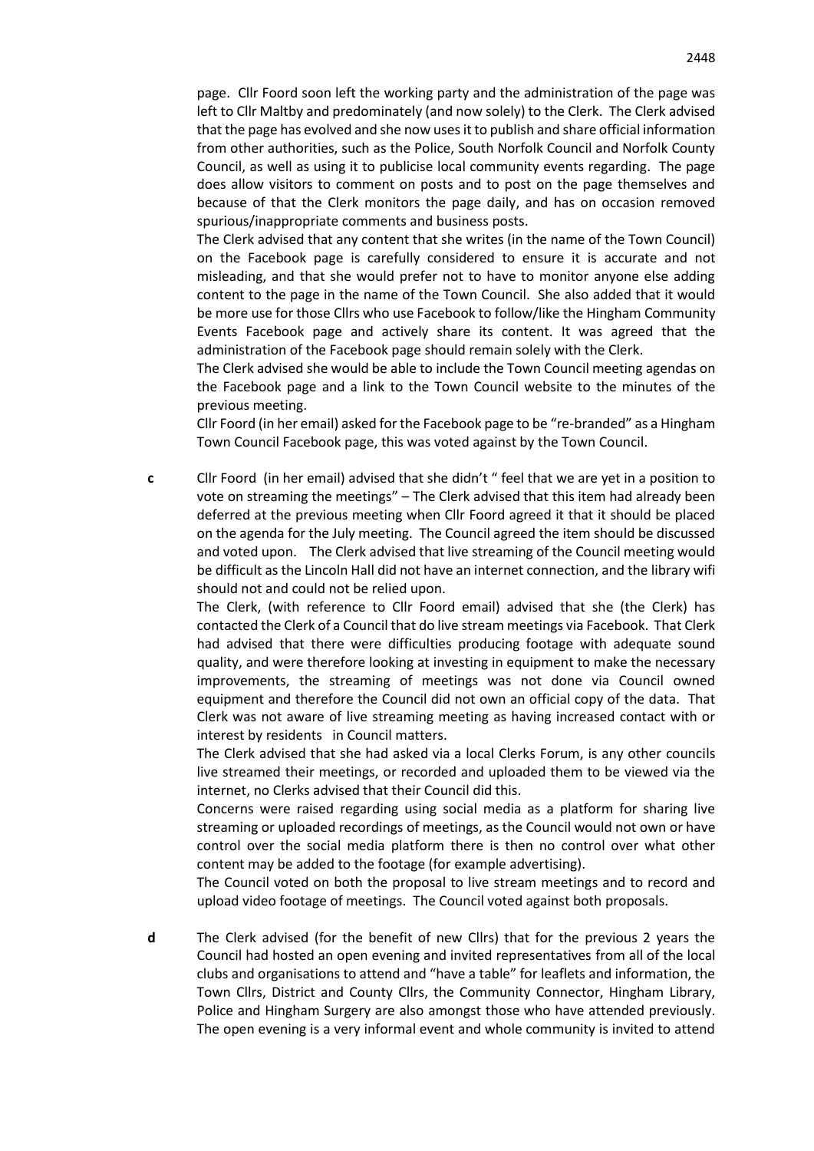page. Cllr Foord soon left the working party and the administration of the page was left to Cllr Maltby and predominately (and now solely) to the Clerk. The Clerk advised that the page has evolved and she now uses it to publish and share official information from other authorities, such as the Police, South Norfolk Council and Norfolk County Council, as well as using it to publicise local community events regarding. The page does allow visitors to comment on posts and to post on the page themselves and because of that the Clerk monitors the page daily, and has on occasion removed spurious/inappropriate comments and business posts.

The Clerk advised that any content that she writes (in the name of the Town Council) on the Facebook page is carefully considered to ensure it is accurate and not misleading, and that she would prefer not to have to monitor anyone else adding content to the page in the name of the Town Council. She also added that it would be more use for those Cllrs who use Facebook to follow/like the Hingham Community Events Facebook page and actively share its content. It was agreed that the administration of the Facebook page should remain solely with the Clerk.

The Clerk advised she would be able to include the Town Council meeting agendas on the Facebook page and a link to the Town Council website to the minutes of the previous meeting.

Cllr Foord (in her email) asked for the Facebook page to be "re-branded" as a Hingham Town Council Facebook page, this was voted against by the Town Council.

**c** Cllr Foord (in her email) advised that she didn't " feel that we are yet in a position to vote on streaming the meetings" – The Clerk advised that this item had already been deferred at the previous meeting when Cllr Foord agreed it that it should be placed on the agenda for the July meeting. The Council agreed the item should be discussed and voted upon. The Clerk advised that live streaming of the Council meeting would be difficult as the Lincoln Hall did not have an internet connection, and the library wifi should not and could not be relied upon.

The Clerk, (with reference to Cllr Foord email) advised that she (the Clerk) has contacted the Clerk of a Council that do live stream meetings via Facebook. That Clerk had advised that there were difficulties producing footage with adequate sound quality, and were therefore looking at investing in equipment to make the necessary improvements, the streaming of meetings was not done via Council owned equipment and therefore the Council did not own an official copy of the data. That Clerk was not aware of live streaming meeting as having increased contact with or interest by residents in Council matters.

The Clerk advised that she had asked via a local Clerks Forum, is any other councils live streamed their meetings, or recorded and uploaded them to be viewed via the internet, no Clerks advised that their Council did this.

Concerns were raised regarding using social media as a platform for sharing live streaming or uploaded recordings of meetings, as the Council would not own or have control over the social media platform there is then no control over what other content may be added to the footage (for example advertising).

The Council voted on both the proposal to live stream meetings and to record and upload video footage of meetings. The Council voted against both proposals.

**d** The Clerk advised (for the benefit of new Cllrs) that for the previous 2 years the Council had hosted an open evening and invited representatives from all of the local clubs and organisations to attend and "have a table" for leaflets and information, the Town Cllrs, District and County Cllrs, the Community Connector, Hingham Library, Police and Hingham Surgery are also amongst those who have attended previously. The open evening is a very informal event and whole community is invited to attend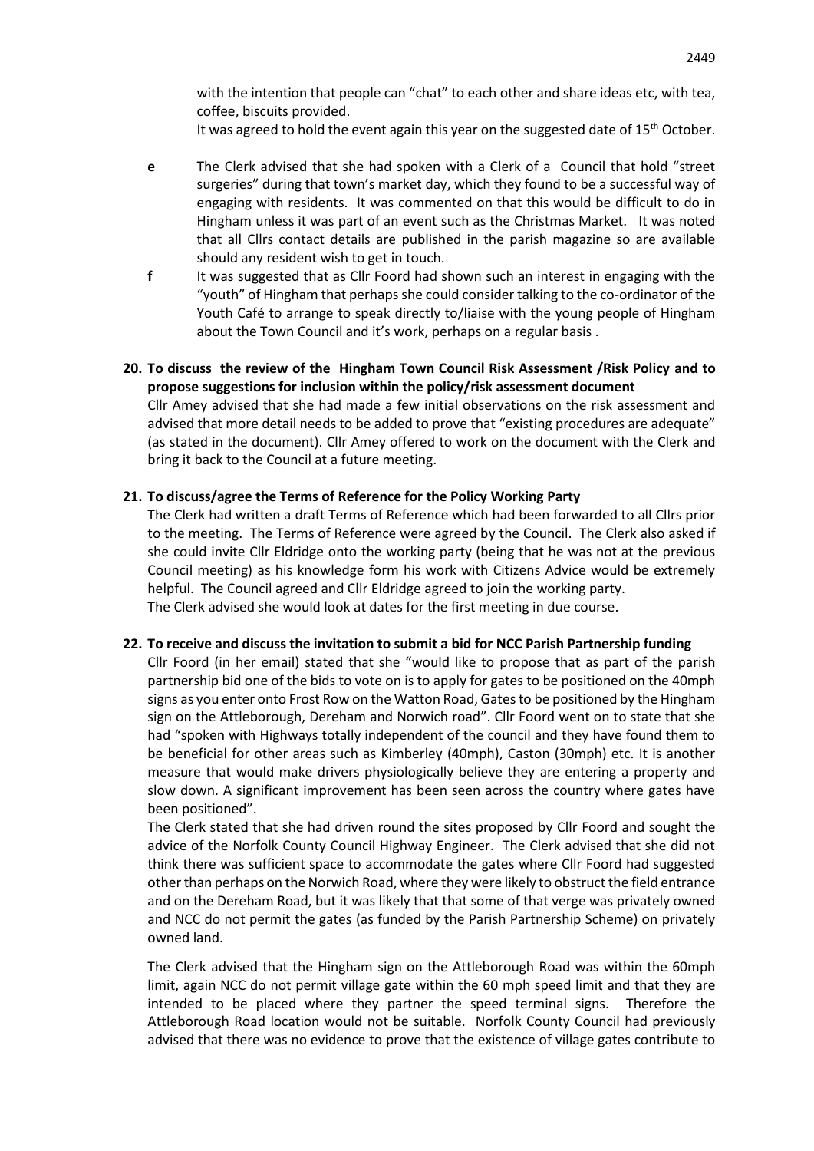with the intention that people can "chat" to each other and share ideas etc, with tea, coffee, biscuits provided.

It was agreed to hold the event again this year on the suggested date of  $15<sup>th</sup>$  October.

- **e** The Clerk advised that she had spoken with a Clerk of a Council that hold "street surgeries" during that town's market day, which they found to be a successful way of engaging with residents. It was commented on that this would be difficult to do in Hingham unless it was part of an event such as the Christmas Market. It was noted that all Cllrs contact details are published in the parish magazine so are available should any resident wish to get in touch.
- **f** It was suggested that as Cllr Foord had shown such an interest in engaging with the "youth" of Hingham that perhaps she could consider talking to the co-ordinator of the Youth Café to arrange to speak directly to/liaise with the young people of Hingham about the Town Council and it's work, perhaps on a regular basis .

# **20. To discuss the review of the Hingham Town Council Risk Assessment /Risk Policy and to propose suggestions for inclusion within the policy/risk assessment document**

Cllr Amey advised that she had made a few initial observations on the risk assessment and advised that more detail needs to be added to prove that "existing procedures are adequate" (as stated in the document). Cllr Amey offered to work on the document with the Clerk and bring it back to the Council at a future meeting.

## **21. To discuss/agree the Terms of Reference for the Policy Working Party**

The Clerk had written a draft Terms of Reference which had been forwarded to all Cllrs prior to the meeting. The Terms of Reference were agreed by the Council. The Clerk also asked if she could invite Cllr Eldridge onto the working party (being that he was not at the previous Council meeting) as his knowledge form his work with Citizens Advice would be extremely helpful. The Council agreed and Cllr Eldridge agreed to join the working party. The Clerk advised she would look at dates for the first meeting in due course.

### **22. To receive and discuss the invitation to submit a bid for NCC Parish Partnership funding**

Cllr Foord (in her email) stated that she "would like to propose that as part of the parish partnership bid one of the bids to vote on is to apply for gates to be positioned on the 40mph signs as you enter onto Frost Row on the Watton Road, Gates to be positioned by the Hingham sign on the Attleborough, Dereham and Norwich road". Cllr Foord went on to state that she had "spoken with Highways totally independent of the council and they have found them to be beneficial for other areas such as Kimberley (40mph), Caston (30mph) etc. It is another measure that would make drivers physiologically believe they are entering a property and slow down. A significant improvement has been seen across the country where gates have been positioned".

The Clerk stated that she had driven round the sites proposed by Cllr Foord and sought the advice of the Norfolk County Council Highway Engineer. The Clerk advised that she did not think there was sufficient space to accommodate the gates where Cllr Foord had suggested other than perhaps on the Norwich Road, where they were likely to obstruct the field entrance and on the Dereham Road, but it was likely that that some of that verge was privately owned and NCC do not permit the gates (as funded by the Parish Partnership Scheme) on privately owned land.

The Clerk advised that the Hingham sign on the Attleborough Road was within the 60mph limit, again NCC do not permit village gate within the 60 mph speed limit and that they are intended to be placed where they partner the speed terminal signs. Therefore the Attleborough Road location would not be suitable. Norfolk County Council had previously advised that there was no evidence to prove that the existence of village gates contribute to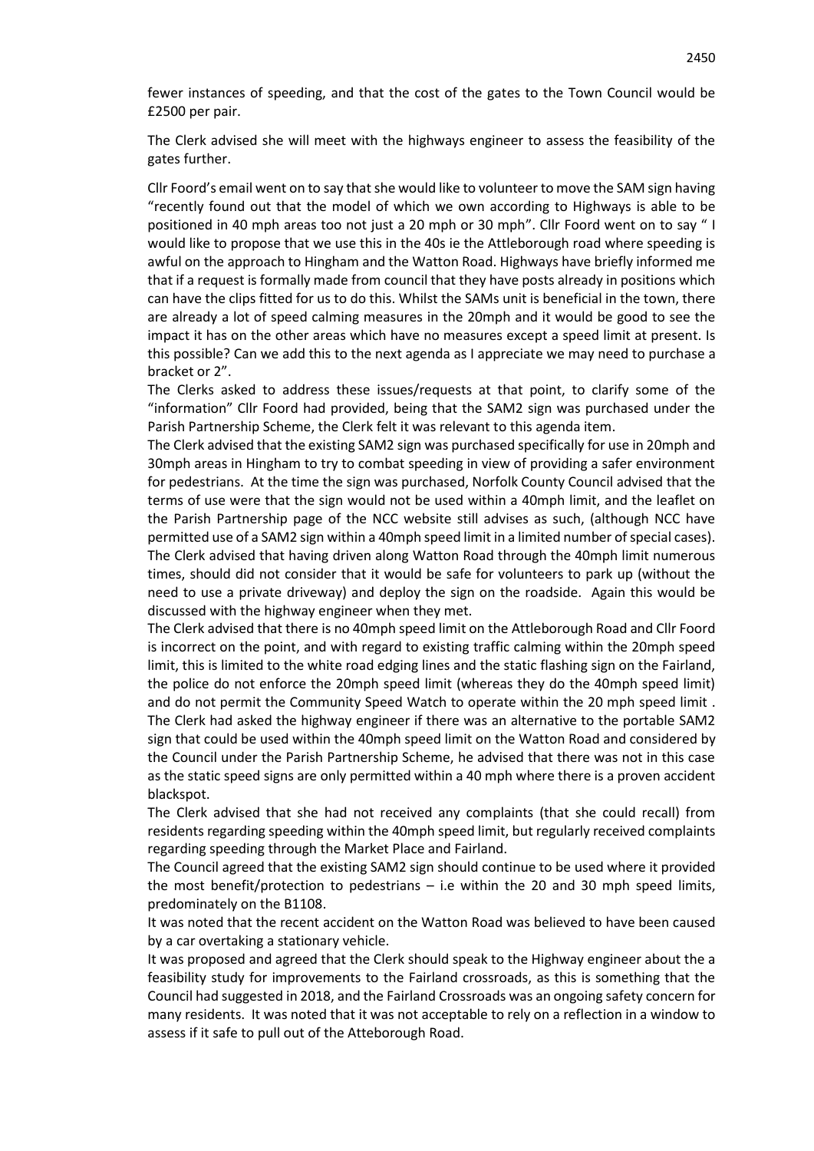fewer instances of speeding, and that the cost of the gates to the Town Council would be £2500 per pair.

The Clerk advised she will meet with the highways engineer to assess the feasibility of the gates further.

Cllr Foord's email went on to say that she would like to volunteer to move the SAM sign having "recently found out that the model of which we own according to Highways is able to be positioned in 40 mph areas too not just a 20 mph or 30 mph". Cllr Foord went on to say " I would like to propose that we use this in the 40s ie the Attleborough road where speeding is awful on the approach to Hingham and the Watton Road. Highways have briefly informed me that if a request is formally made from council that they have posts already in positions which can have the clips fitted for us to do this. Whilst the SAMs unit is beneficial in the town, there are already a lot of speed calming measures in the 20mph and it would be good to see the impact it has on the other areas which have no measures except a speed limit at present. Is this possible? Can we add this to the next agenda as I appreciate we may need to purchase a bracket or 2".

The Clerks asked to address these issues/requests at that point, to clarify some of the "information" Cllr Foord had provided, being that the SAM2 sign was purchased under the Parish Partnership Scheme, the Clerk felt it was relevant to this agenda item.

The Clerk advised that the existing SAM2 sign was purchased specifically for use in 20mph and 30mph areas in Hingham to try to combat speeding in view of providing a safer environment for pedestrians. At the time the sign was purchased, Norfolk County Council advised that the terms of use were that the sign would not be used within a 40mph limit, and the leaflet on the Parish Partnership page of the NCC website still advises as such, (although NCC have permitted use of a SAM2 sign within a 40mph speed limit in a limited number of special cases). The Clerk advised that having driven along Watton Road through the 40mph limit numerous times, should did not consider that it would be safe for volunteers to park up (without the need to use a private driveway) and deploy the sign on the roadside. Again this would be discussed with the highway engineer when they met.

The Clerk advised that there is no 40mph speed limit on the Attleborough Road and Cllr Foord is incorrect on the point, and with regard to existing traffic calming within the 20mph speed limit, this is limited to the white road edging lines and the static flashing sign on the Fairland, the police do not enforce the 20mph speed limit (whereas they do the 40mph speed limit) and do not permit the Community Speed Watch to operate within the 20 mph speed limit . The Clerk had asked the highway engineer if there was an alternative to the portable SAM2 sign that could be used within the 40mph speed limit on the Watton Road and considered by the Council under the Parish Partnership Scheme, he advised that there was not in this case as the static speed signs are only permitted within a 40 mph where there is a proven accident blackspot.

The Clerk advised that she had not received any complaints (that she could recall) from residents regarding speeding within the 40mph speed limit, but regularly received complaints regarding speeding through the Market Place and Fairland.

The Council agreed that the existing SAM2 sign should continue to be used where it provided the most benefit/protection to pedestrians – i.e within the 20 and 30 mph speed limits, predominately on the B1108.

It was noted that the recent accident on the Watton Road was believed to have been caused by a car overtaking a stationary vehicle.

It was proposed and agreed that the Clerk should speak to the Highway engineer about the a feasibility study for improvements to the Fairland crossroads, as this is something that the Council had suggested in 2018, and the Fairland Crossroads was an ongoing safety concern for many residents. It was noted that it was not acceptable to rely on a reflection in a window to assess if it safe to pull out of the Atteborough Road.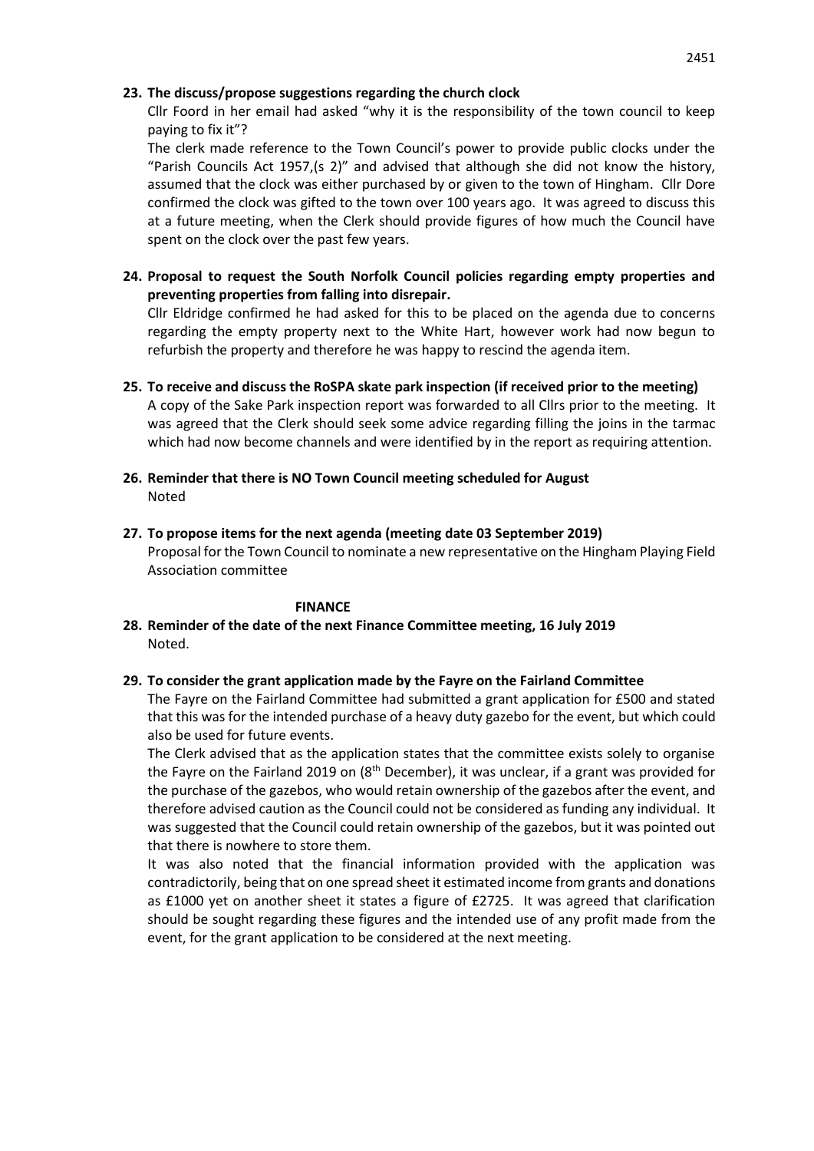### **23. The discuss/propose suggestions regarding the church clock**

Cllr Foord in her email had asked "why it is the responsibility of the town council to keep paying to fix it"?

The clerk made reference to the Town Council's power to provide public clocks under the "Parish Councils Act 1957,(s 2)" and advised that although she did not know the history, assumed that the clock was either purchased by or given to the town of Hingham. Cllr Dore confirmed the clock was gifted to the town over 100 years ago. It was agreed to discuss this at a future meeting, when the Clerk should provide figures of how much the Council have spent on the clock over the past few years.

**24. Proposal to request the South Norfolk Council policies regarding empty properties and preventing properties from falling into disrepair.**

Cllr Eldridge confirmed he had asked for this to be placed on the agenda due to concerns regarding the empty property next to the White Hart, however work had now begun to refurbish the property and therefore he was happy to rescind the agenda item.

**25. To receive and discuss the RoSPA skate park inspection (if received prior to the meeting)** A copy of the Sake Park inspection report was forwarded to all Cllrs prior to the meeting. It was agreed that the Clerk should seek some advice regarding filling the joins in the tarmac which had now become channels and were identified by in the report as requiring attention.

- **26. Reminder that there is NO Town Council meeting scheduled for August** Noted
- **27. To propose items for the next agenda (meeting date 03 September 2019)** Proposal for the Town Council to nominate a new representative on the Hingham Playing Field Association committee

### **FINANCE**

**28. Reminder of the date of the next Finance Committee meeting, 16 July 2019** Noted.

## **29. To consider the grant application made by the Fayre on the Fairland Committee**

The Fayre on the Fairland Committee had submitted a grant application for £500 and stated that this was for the intended purchase of a heavy duty gazebo for the event, but which could also be used for future events.

The Clerk advised that as the application states that the committee exists solely to organise the Fayre on the Fairland 2019 on  $(8<sup>th</sup> December)$ , it was unclear, if a grant was provided for the purchase of the gazebos, who would retain ownership of the gazebos after the event, and therefore advised caution as the Council could not be considered as funding any individual. It was suggested that the Council could retain ownership of the gazebos, but it was pointed out that there is nowhere to store them.

It was also noted that the financial information provided with the application was contradictorily, being that on one spread sheet it estimated income from grants and donations as £1000 yet on another sheet it states a figure of £2725. It was agreed that clarification should be sought regarding these figures and the intended use of any profit made from the event, for the grant application to be considered at the next meeting.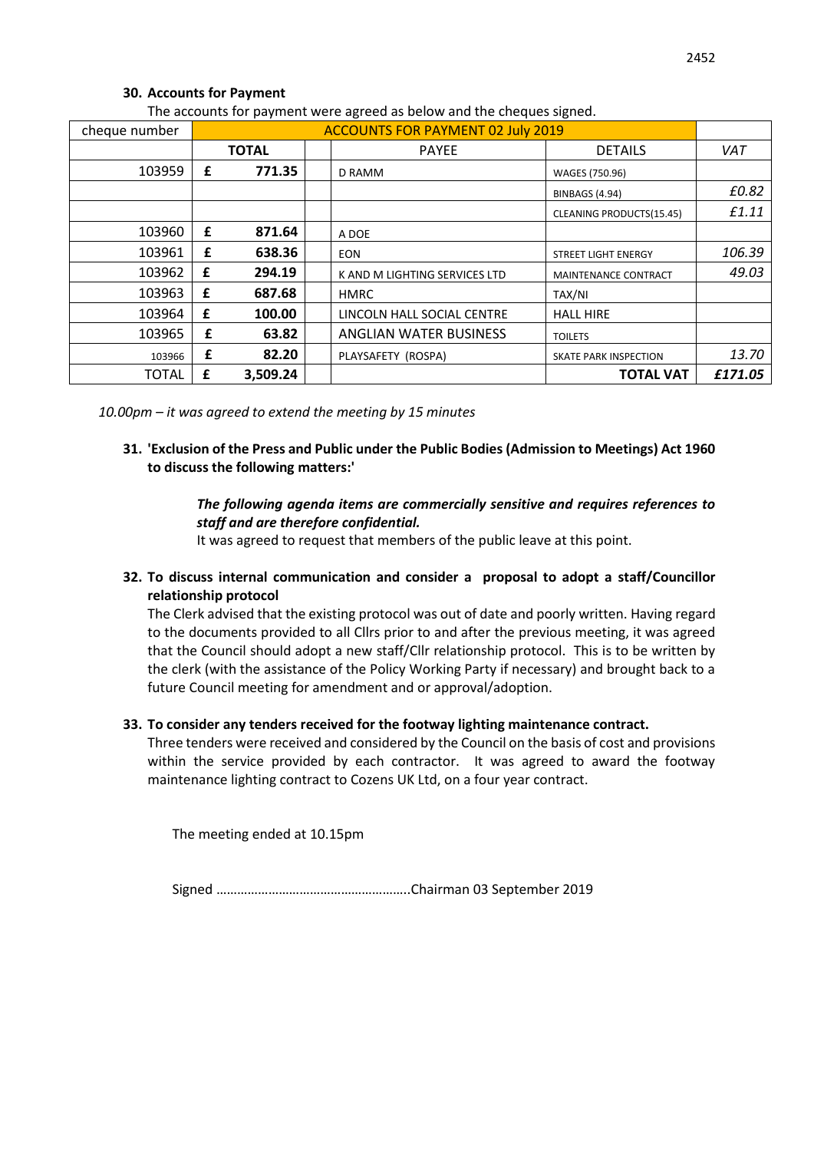# **30. Accounts for Payment**

| cheque number | <b>ACCOUNTS FOR PAYMENT 02 July 2019</b> |              |  |                               |                            |            |
|---------------|------------------------------------------|--------------|--|-------------------------------|----------------------------|------------|
|               |                                          | <b>TOTAL</b> |  | <b>PAYEE</b>                  | <b>DETAILS</b>             | <b>VAT</b> |
| 103959        | £                                        | 771.35       |  | D RAMM                        | WAGES (750.96)             |            |
|               |                                          |              |  |                               | BINBAGS (4.94)             | £0.82      |
|               |                                          |              |  |                               | CLEANING PRODUCTS(15.45)   | £1.11      |
| 103960        | £                                        | 871.64       |  | A DOE                         |                            |            |
| 103961        | £                                        | 638.36       |  | <b>EON</b>                    | <b>STREET LIGHT ENERGY</b> | 106.39     |
| 103962        | £                                        | 294.19       |  | K AND M LIGHTING SERVICES LTD | MAINTENANCE CONTRACT       | 49.03      |
| 103963        | £                                        | 687.68       |  | <b>HMRC</b>                   | TAX/NI                     |            |
| 103964        | £                                        | 100.00       |  | LINCOLN HALL SOCIAL CENTRE    | <b>HALL HIRE</b>           |            |
| 103965        | £                                        | 63.82        |  | ANGLIAN WATER BUSINESS        | <b>TOILETS</b>             |            |
| 103966        | £                                        | 82.20        |  | PLAYSAFETY (ROSPA)            | SKATE PARK INSPECTION      | 13.70      |
| <b>TOTAL</b>  | £                                        | 3,509.24     |  |                               | <b>TOTAL VAT</b>           | £171.05    |

The accounts for payment were agreed as below and the cheques signed.

*10.00pm – it was agreed to extend the meeting by 15 minutes*

# **31. 'Exclusion of the Press and Public under the Public Bodies (Admission to Meetings) Act 1960 to discuss the following matters:'**

# *The following agenda items are commercially sensitive and requires references to staff and are therefore confidential.*

It was agreed to request that members of the public leave at this point.

**32. To discuss internal communication and consider a proposal to adopt a staff/Councillor relationship protocol**

The Clerk advised that the existing protocol was out of date and poorly written. Having regard to the documents provided to all Cllrs prior to and after the previous meeting, it was agreed that the Council should adopt a new staff/Cllr relationship protocol. This is to be written by the clerk (with the assistance of the Policy Working Party if necessary) and brought back to a future Council meeting for amendment and or approval/adoption.

## **33. To consider any tenders received for the footway lighting maintenance contract.**

Three tenders were received and considered by the Council on the basis of cost and provisions within the service provided by each contractor. It was agreed to award the footway maintenance lighting contract to Cozens UK Ltd, on a four year contract.

The meeting ended at 10.15pm

Signed ………………………………………………..Chairman 03 September 2019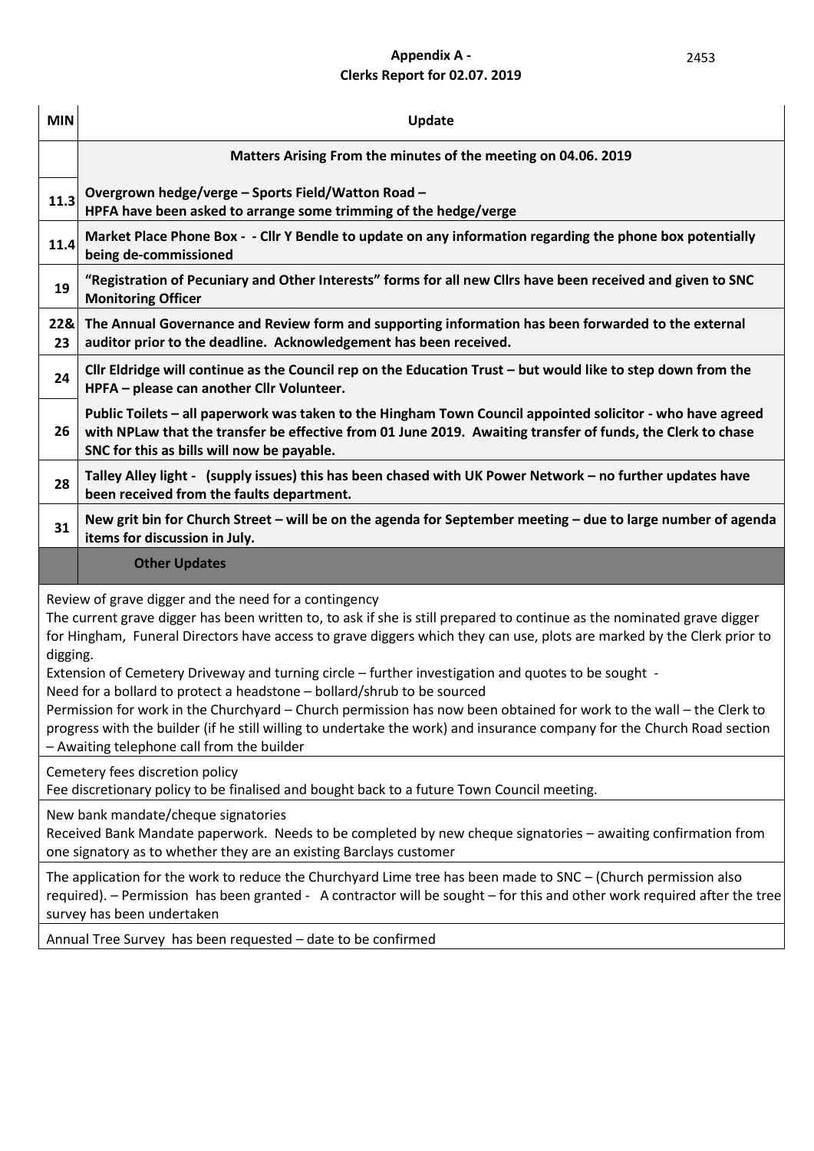# **Appendix A -** 2453 **Clerks Report for 02.07. 2019**

| <b>MIN</b>                                                                                                                                                                                                                                                                                                                                                                                                                                                                                                                                                                                                                                                                                                                                                                                               | Update                                                                                                                                                                                                                                                                   |  |  |  |  |  |
|----------------------------------------------------------------------------------------------------------------------------------------------------------------------------------------------------------------------------------------------------------------------------------------------------------------------------------------------------------------------------------------------------------------------------------------------------------------------------------------------------------------------------------------------------------------------------------------------------------------------------------------------------------------------------------------------------------------------------------------------------------------------------------------------------------|--------------------------------------------------------------------------------------------------------------------------------------------------------------------------------------------------------------------------------------------------------------------------|--|--|--|--|--|
|                                                                                                                                                                                                                                                                                                                                                                                                                                                                                                                                                                                                                                                                                                                                                                                                          | Matters Arising From the minutes of the meeting on 04.06. 2019                                                                                                                                                                                                           |  |  |  |  |  |
| 11.3                                                                                                                                                                                                                                                                                                                                                                                                                                                                                                                                                                                                                                                                                                                                                                                                     | Overgrown hedge/verge - Sports Field/Watton Road -<br>HPFA have been asked to arrange some trimming of the hedge/verge                                                                                                                                                   |  |  |  |  |  |
| 11.4                                                                                                                                                                                                                                                                                                                                                                                                                                                                                                                                                                                                                                                                                                                                                                                                     | Market Place Phone Box - - Cllr Y Bendle to update on any information regarding the phone box potentially<br>being de-commissioned                                                                                                                                       |  |  |  |  |  |
| 19                                                                                                                                                                                                                                                                                                                                                                                                                                                                                                                                                                                                                                                                                                                                                                                                       | "Registration of Pecuniary and Other Interests" forms for all new Cllrs have been received and given to SNC<br><b>Monitoring Officer</b>                                                                                                                                 |  |  |  |  |  |
| 22&<br>23                                                                                                                                                                                                                                                                                                                                                                                                                                                                                                                                                                                                                                                                                                                                                                                                | The Annual Governance and Review form and supporting information has been forwarded to the external<br>auditor prior to the deadline. Acknowledgement has been received.                                                                                                 |  |  |  |  |  |
| 24                                                                                                                                                                                                                                                                                                                                                                                                                                                                                                                                                                                                                                                                                                                                                                                                       | Cllr Eldridge will continue as the Council rep on the Education Trust - but would like to step down from the<br>HPFA - please can another Cllr Volunteer.                                                                                                                |  |  |  |  |  |
| 26                                                                                                                                                                                                                                                                                                                                                                                                                                                                                                                                                                                                                                                                                                                                                                                                       | Public Toilets - all paperwork was taken to the Hingham Town Council appointed solicitor - who have agreed<br>with NPLaw that the transfer be effective from 01 June 2019. Awaiting transfer of funds, the Clerk to chase<br>SNC for this as bills will now be payable.  |  |  |  |  |  |
| 28                                                                                                                                                                                                                                                                                                                                                                                                                                                                                                                                                                                                                                                                                                                                                                                                       | Talley Alley light - (supply issues) this has been chased with UK Power Network - no further updates have<br>been received from the faults department.                                                                                                                   |  |  |  |  |  |
| 31                                                                                                                                                                                                                                                                                                                                                                                                                                                                                                                                                                                                                                                                                                                                                                                                       | New grit bin for Church Street – will be on the agenda for September meeting – due to large number of agenda<br>items for discussion in July.                                                                                                                            |  |  |  |  |  |
|                                                                                                                                                                                                                                                                                                                                                                                                                                                                                                                                                                                                                                                                                                                                                                                                          | <b>Other Updates</b>                                                                                                                                                                                                                                                     |  |  |  |  |  |
| Review of grave digger and the need for a contingency<br>The current grave digger has been written to, to ask if she is still prepared to continue as the nominated grave digger<br>for Hingham, Funeral Directors have access to grave diggers which they can use, plots are marked by the Clerk prior to<br>digging.<br>Extension of Cemetery Driveway and turning circle – further investigation and quotes to be sought -<br>Need for a bollard to protect a headstone - bollard/shrub to be sourced<br>Permission for work in the Churchyard - Church permission has now been obtained for work to the wall - the Clerk to<br>progress with the builder (if he still willing to undertake the work) and insurance company for the Church Road section<br>- Awaiting telephone call from the builder |                                                                                                                                                                                                                                                                          |  |  |  |  |  |
|                                                                                                                                                                                                                                                                                                                                                                                                                                                                                                                                                                                                                                                                                                                                                                                                          | Cemetery fees discretion policy<br>Fee discretionary policy to be finalised and bought back to a future Town Council meeting.                                                                                                                                            |  |  |  |  |  |
| New bank mandate/cheque signatories<br>Received Bank Mandate paperwork. Needs to be completed by new cheque signatories - awaiting confirmation from<br>one signatory as to whether they are an existing Barclays customer                                                                                                                                                                                                                                                                                                                                                                                                                                                                                                                                                                               |                                                                                                                                                                                                                                                                          |  |  |  |  |  |
|                                                                                                                                                                                                                                                                                                                                                                                                                                                                                                                                                                                                                                                                                                                                                                                                          | The application for the work to reduce the Churchyard Lime tree has been made to SNC – (Church permission also<br>required). - Permission has been granted - A contractor will be sought - for this and other work required after the tree<br>survey has been undertaken |  |  |  |  |  |
|                                                                                                                                                                                                                                                                                                                                                                                                                                                                                                                                                                                                                                                                                                                                                                                                          | Annual Tree Survey has been requested - date to be confirmed                                                                                                                                                                                                             |  |  |  |  |  |